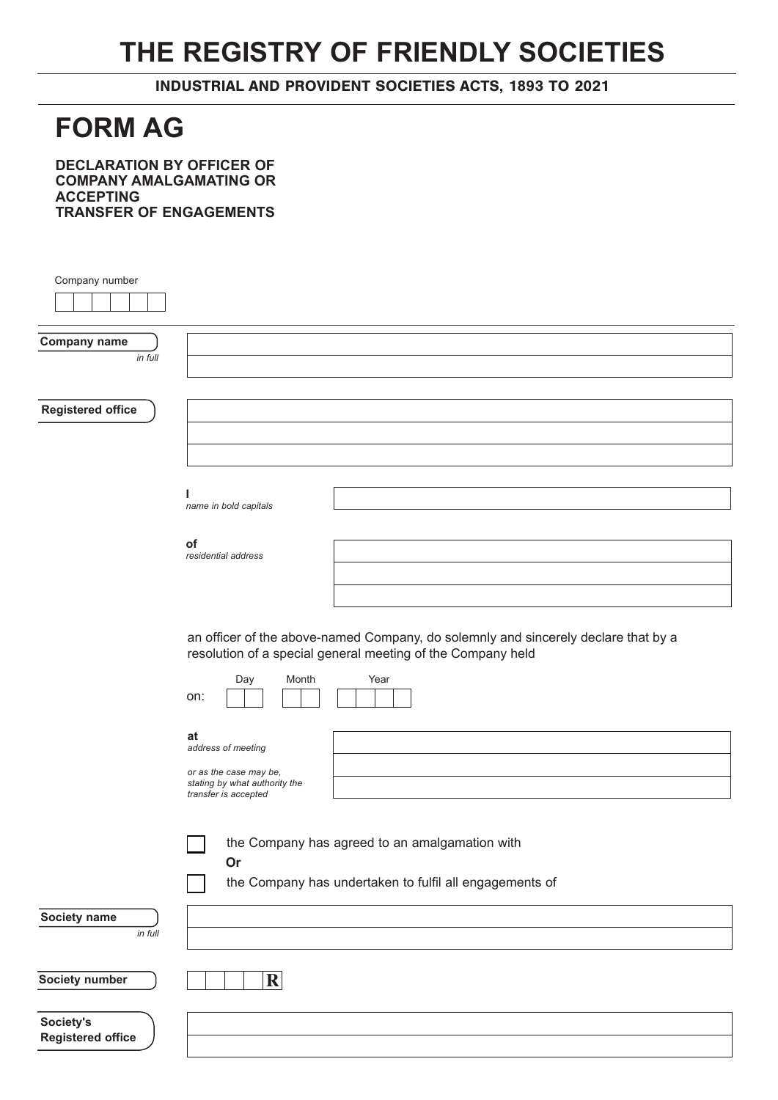## **THE REGISTRY OF FRIENDLY SOCIETIES**

INDUSTRIAL AND PROVIDENT SOCIETIES ACTS, 1893 TO 2021

## **FORM AG**

**DECLARATION BY OFFICER OF COMPANY AMALGAMATING OR ACCEPTING TRANSFER OF ENGAGEMENTS**

| Company number                        |                                                                                                                                                   |
|---------------------------------------|---------------------------------------------------------------------------------------------------------------------------------------------------|
| <b>Company name</b><br>in full        |                                                                                                                                                   |
| <b>Registered office</b>              |                                                                                                                                                   |
|                                       | ı<br>name in bold capitals                                                                                                                        |
|                                       | of<br>residential address                                                                                                                         |
|                                       | an officer of the above-named Company, do solemnly and sincerely declare that by a<br>resolution of a special general meeting of the Company held |
|                                       | Month<br>Year<br>Day<br>on:                                                                                                                       |
|                                       | at<br>address of meeting<br>or as the case may be,<br>stating by what authority the<br>transfer is accepted                                       |
|                                       | the Company has agreed to an amalgamation with<br>Or<br>the Company has undertaken to fulfil all engagements of                                   |
| Society name<br>in full               |                                                                                                                                                   |
| Society number                        | $\mathbf R$                                                                                                                                       |
| Society's<br><b>Registered office</b> |                                                                                                                                                   |